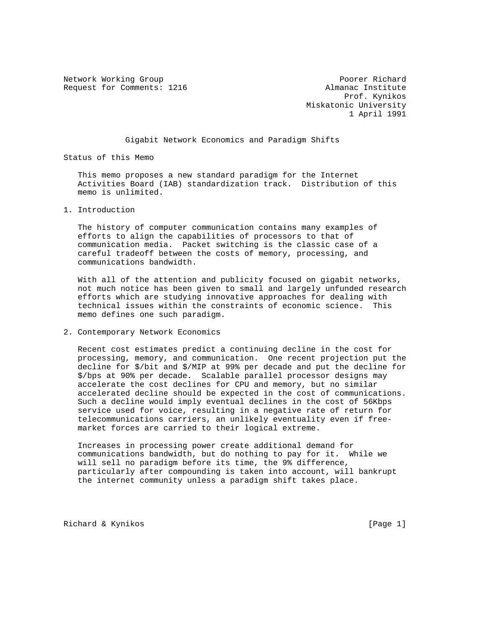Network Working Group **Poorer Richard** Request for Comments: 1216 Almanac Institute

 Prof. Kynikos Miskatonic University 1 April 1991

## Gigabit Network Economics and Paradigm Shifts

Status of this Memo

 This memo proposes a new standard paradigm for the Internet Activities Board (IAB) standardization track. Distribution of this memo is unlimited.

1. Introduction

 The history of computer communication contains many examples of efforts to align the capabilities of processors to that of communication media. Packet switching is the classic case of a careful tradeoff between the costs of memory, processing, and communications bandwidth.

 With all of the attention and publicity focused on gigabit networks, not much notice has been given to small and largely unfunded research efforts which are studying innovative approaches for dealing with technical issues within the constraints of economic science. This memo defines one such paradigm.

2. Contemporary Network Economics

 Recent cost estimates predict a continuing decline in the cost for processing, memory, and communication. One recent projection put the decline for \$/bit and \$/MIP at 99% per decade and put the decline for \$/bps at 90% per decade. Scalable parallel processor designs may accelerate the cost declines for CPU and memory, but no similar accelerated decline should be expected in the cost of communications. Such a decline would imply eventual declines in the cost of 56Kbps service used for voice, resulting in a negative rate of return for telecommunications carriers, an unlikely eventuality even if free market forces are carried to their logical extreme.

 Increases in processing power create additional demand for communications bandwidth, but do nothing to pay for it. While we will sell no paradigm before its time, the 9% difference, particularly after compounding is taken into account, will bankrupt the internet community unless a paradigm shift takes place.

Richard & Kynikos [Page 1]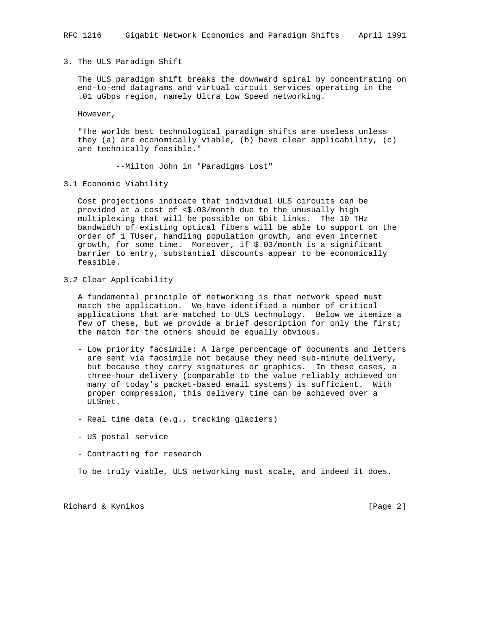## 3. The ULS Paradigm Shift

 The ULS paradigm shift breaks the downward spiral by concentrating on end-to-end datagrams and virtual circuit services operating in the .01 uGbps region, namely Ultra Low Speed networking.

However,

 "The worlds best technological paradigm shifts are useless unless they (a) are economically viable, (b) have clear applicability, (c) are technically feasible."

--Milton John in "Paradigms Lost"

3.1 Economic Viability

 Cost projections indicate that individual ULS circuits can be provided at a cost of <\$.03/month due to the unusually high multiplexing that will be possible on Gbit links. The 10 THz bandwidth of existing optical fibers will be able to support on the order of 1 TUser, handling population growth, and even internet growth, for some time. Moreover, if \$.03/month is a significant barrier to entry, substantial discounts appear to be economically feasible.

3.2 Clear Applicability

 A fundamental principle of networking is that network speed must match the application. We have identified a number of critical applications that are matched to ULS technology. Below we itemize a few of these, but we provide a brief description for only the first; the match for the others should be equally obvious.

- Low priority facsimile: A large percentage of documents and letters are sent via facsimile not because they need sub-minute delivery, but because they carry signatures or graphics. In these cases, a three-hour delivery (comparable to the value reliably achieved on many of today's packet-based email systems) is sufficient. With proper compression, this delivery time can be achieved over a ULSnet.
- Real time data (e.g., tracking glaciers)
- US postal service
- Contracting for research

To be truly viable, ULS networking must scale, and indeed it does.

Richard & Kynikos [Page 2]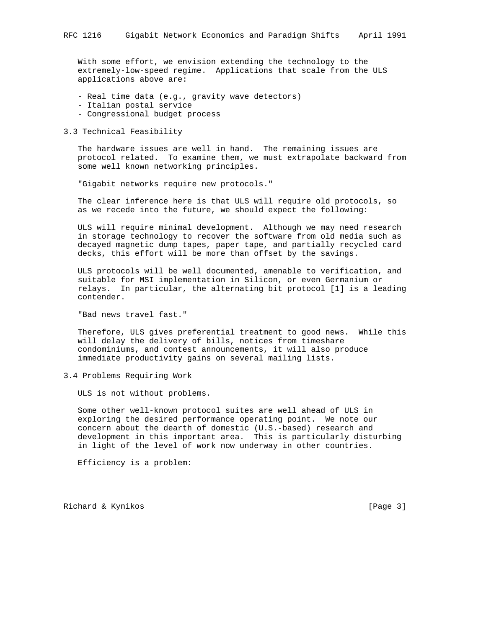With some effort, we envision extending the technology to the extremely-low-speed regime. Applications that scale from the ULS applications above are:

- Real time data (e.g., gravity wave detectors)
- Italian postal service
- Congressional budget process
- 3.3 Technical Feasibility

 The hardware issues are well in hand. The remaining issues are protocol related. To examine them, we must extrapolate backward from some well known networking principles.

"Gigabit networks require new protocols."

 The clear inference here is that ULS will require old protocols, so as we recede into the future, we should expect the following:

 ULS will require minimal development. Although we may need research in storage technology to recover the software from old media such as decayed magnetic dump tapes, paper tape, and partially recycled card decks, this effort will be more than offset by the savings.

 ULS protocols will be well documented, amenable to verification, and suitable for MSI implementation in Silicon, or even Germanium or relays. In particular, the alternating bit protocol [1] is a leading contender.

"Bad news travel fast."

 Therefore, ULS gives preferential treatment to good news. While this will delay the delivery of bills, notices from timeshare condominiums, and contest announcements, it will also produce immediate productivity gains on several mailing lists.

3.4 Problems Requiring Work

ULS is not without problems.

 Some other well-known protocol suites are well ahead of ULS in exploring the desired performance operating point. We note our concern about the dearth of domestic (U.S.-based) research and development in this important area. This is particularly disturbing in light of the level of work now underway in other countries.

Efficiency is a problem:

Richard & Kynikos [Page 3]